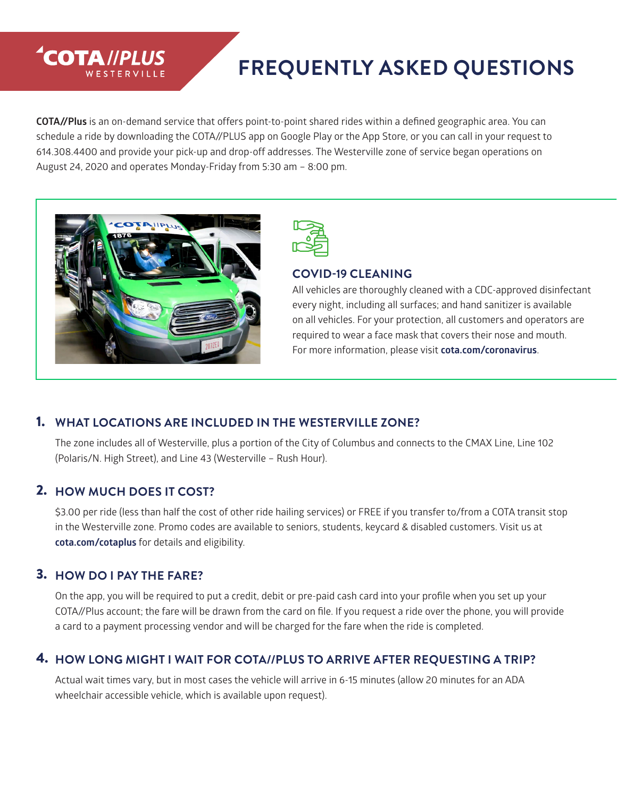# **FREQUENTLY ASKED QUESTIONS**

**COTA//Plus** is an on-demand service that offers point-to-point shared rides within a defined geographic area. You can schedule a ride by downloading the COTA//PLUS app on Google Play or the App Store, or you can call in your request to 614.308.4400 and provide your pick-up and drop-off addresses. The Westerville zone of service began operations on August 24, 2020 and operates Monday-Friday from 5:30 am – 8:00 pm.



**COTA //PLUS** 



#### **COVID-19 CLEANING**

All vehicles are thoroughly cleaned with a CDC-approved disinfectant every night, including all surfaces; and hand sanitizer is available on all vehicles. For your protection, all customers and operators are required to wear a face mask that covers their nose and mouth. For more information, please visit **cota.com/coronavirus**.

#### 1. **WHAT LOCATIONS ARE INCLUDED IN THE WESTERVILLE ZONE?**

The zone includes all of Westerville, plus a portion of the City of Columbus and connects to the CMAX Line, Line 102 (Polaris/N. High Street), and Line 43 (Westerville – Rush Hour).

#### 2. **HOW MUCH DOES IT COST?**

\$3.00 per ride (less than half the cost of other ride hailing services) or FREE if you transfer to/from a COTA transit stop in the Westerville zone. Promo codes are available to seniors, students, keycard & disabled customers. Visit us at **cota.com/cotaplus** for details and eligibility.

#### 3. **HOW DO I PAY THE FARE?**

On the app, you will be required to put a credit, debit or pre-paid cash card into your profile when you set up your COTA//Plus account; the fare will be drawn from the card on file. If you request a ride over the phone, you will provide a card to a payment processing vendor and will be charged for the fare when the ride is completed.

#### 4. **HOW LONG MIGHT I WAIT FOR COTA//PLUS TO ARRIVE AFTER REQUESTING A TRIP?**

Actual wait times vary, but in most cases the vehicle will arrive in 6-15 minutes (allow 20 minutes for an ADA wheelchair accessible vehicle, which is available upon request).